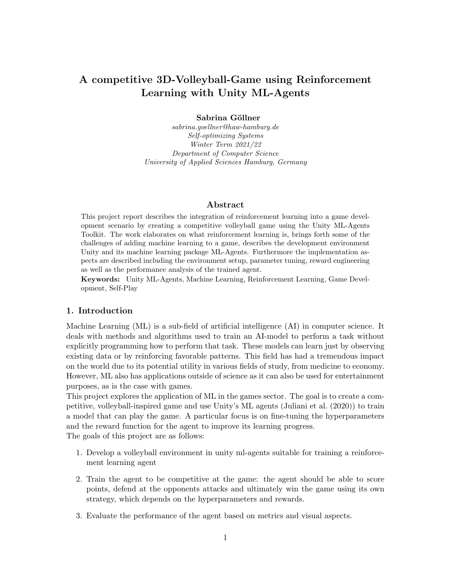# A competitive 3D-Volleyball-Game using Reinforcement Learning with Unity ML-Agents

Sabrina Göllner

sabrina.goellner@haw-hamburg.de Self-optimizing Systems Winter Term 2021/22 Department of Computer Science University of Applied Sciences Hamburg, Germany

### Abstract

This project report describes the integration of reinforcement learning into a game development scenario by creating a competitive volleyball game using the Unity ML-Agents Toolkit. The work elaborates on what reinforcement learning is, brings forth some of the challenges of adding machine learning to a game, describes the development environment Unity and its machine learning package ML-Agents. Furthermore the implementation aspects are described including the environment setup, parameter tuning, reward engineering as well as the performance analysis of the trained agent.

Keywords: Unity ML-Agents, Machine Learning, Reinforcement Learning, Game Development, Self-Play

### 1. Introduction

Machine Learning (ML) is a sub-field of artificial intelligence (AI) in computer science. It deals with methods and algorithms used to train an AI-model to perform a task without explicitly programming how to perform that task. These models can learn just by observing existing data or by reinforcing favorable patterns. This field has had a tremendous impact on the world due to its potential utility in various fields of study, from medicine to economy. However, ML also has applications outside of science as it can also be used for entertainment purposes, as is the case with games.

This project explores the application of ML in the games sector. The goal is to create a competitive, volleyball-inspired game and use Unity's ML agents [\(Juliani et al.](#page-11-0) [\(2020\)](#page-11-0)) to train a model that can play the game. A particular focus is on fine-tuning the hyperparameters and the reward function for the agent to improve its learning progress.

The goals of this project are as follows:

- 1. Develop a volleyball environment in unity ml-agents suitable for training a reinforcement learning agent
- 2. Train the agent to be competitive at the game: the agent should be able to score points, defend at the opponents attacks and ultimately win the game using its own strategy, which depends on the hyperparameters and rewards.
- 3. Evaluate the performance of the agent based on metrics and visual aspects.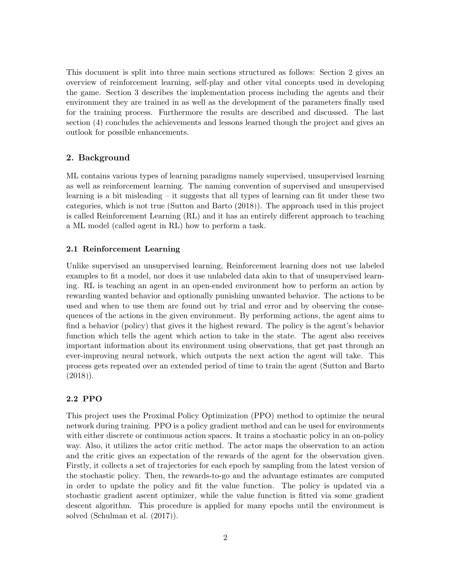This document is split into three main sections structured as follows: Section [2](#page-1-0) gives an overview of reinforcement learning, self-play and other vital concepts used in developing the game. Section [3](#page-4-0) describes the implementation process including the agents and their environment they are trained in as well as the development of the parameters finally used for the training process. Furthermore the results are described and discussed. The last section [\(4\)](#page-10-0) concludes the achievements and lessons learned though the project and gives an outlook for possible enhancements.

# <span id="page-1-0"></span>2. Background

ML contains various types of learning paradigms namely supervised, unsupervised learning as well as reinforcement learning. The naming convention of supervised and unsupervised learning is a bit misleading – it suggests that all types of learning can fit under these two categories, which is not true [\(Sutton and Barto](#page-11-1) [\(2018\)](#page-11-1)). The approach used in this project is called Reinforcement Learning (RL) and it has an entirely different approach to teaching a ML model (called agent in RL) how to perform a task.

### 2.1 Reinforcement Learning

Unlike supervised an unsupervised learning, Reinforcement learning does not use labeled examples to fit a model, nor does it use unlabeled data akin to that of unsupervised learning. RL is teaching an agent in an open-ended environment how to perform an action by rewarding wanted behavior and optionally punishing unwanted behavior. The actions to be used and when to use them are found out by trial and error and by observing the consequences of the actions in the given environment. By performing actions, the agent aims to find a behavior (policy) that gives it the highest reward. The policy is the agent's behavior function which tells the agent which action to take in the state. The agent also receives important information about its environment using observations, that get past through an ever-improving neural network, which outputs the next action the agent will take. This process gets repeated over an extended period of time to train the agent [\(Sutton and Barto](#page-11-1)  $(2018)$ .

### 2.2 PPO

This project uses the Proximal Policy Optimization (PPO) method to optimize the neural network during training. PPO is a policy gradient method and can be used for environments with either discrete or continuous action spaces. It trains a stochastic policy in an on-policy way. Also, it utilizes the actor critic method. The actor maps the observation to an action and the critic gives an expectation of the rewards of the agent for the observation given. Firstly, it collects a set of trajectories for each epoch by sampling from the latest version of the stochastic policy. Then, the rewards-to-go and the advantage estimates are computed in order to update the policy and fit the value function. The policy is updated via a stochastic gradient ascent optimizer, while the value function is fitted via some gradient descent algorithm. This procedure is applied for many epochs until the environment is solved [\(Schulman et al.](#page-11-2) [\(2017\)](#page-11-2)).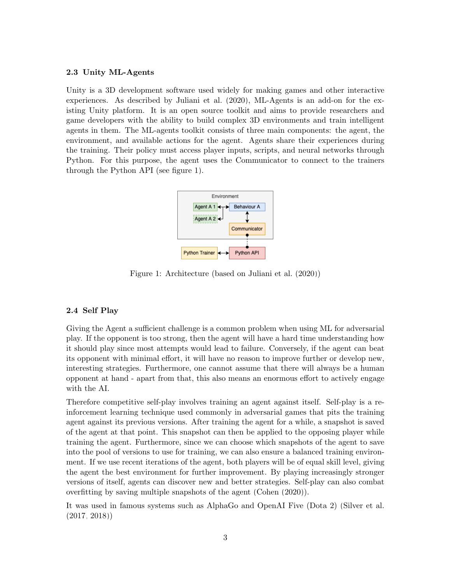# 2.3 Unity ML-Agents

Unity is a 3D development software used widely for making games and other interactive experiences. As described by [Juliani et al.](#page-11-0) [\(2020\)](#page-11-0), ML-Agents is an add-on for the existing Unity platform. It is an open source toolkit and aims to provide researchers and game developers with the ability to build complex 3D environments and train intelligent agents in them. The ML-agents toolkit consists of three main components: the agent, the environment, and available actions for the agent. Agents share their experiences during the training. Their policy must access player inputs, scripts, and neural networks through Python. For this purpose, the agent uses the Communicator to connect to the trainers through the Python API (see figure [1\)](#page-2-0).



<span id="page-2-0"></span>Figure 1: Architecture (based on [Juliani et al.](#page-11-0) [\(2020\)](#page-11-0))

# 2.4 Self Play

Giving the Agent a sufficient challenge is a common problem when using ML for adversarial play. If the opponent is too strong, then the agent will have a hard time understanding how it should play since most attempts would lead to failure. Conversely, if the agent can beat its opponent with minimal effort, it will have no reason to improve further or develop new, interesting strategies. Furthermore, one cannot assume that there will always be a human opponent at hand - apart from that, this also means an enormous effort to actively engage with the AI.

Therefore competitive self-play involves training an agent against itself. Self-play is a reinforcement learning technique used commonly in adversarial games that pits the training agent against its previous versions. After training the agent for a while, a snapshot is saved of the agent at that point. This snapshot can then be applied to the opposing player while training the agent. Furthermore, since we can choose which snapshots of the agent to save into the pool of versions to use for training, we can also ensure a balanced training environment. If we use recent iterations of the agent, both players will be of equal skill level, giving the agent the best environment for further improvement. By playing increasingly stronger versions of itself, agents can discover new and better strategies. Self-play can also combat overfitting by saving multiple snapshots of the agent [\(Cohen](#page-11-3) [\(2020\)](#page-11-3)).

It was used in famous systems such as AlphaGo and OpenAI Five (Dota 2) [\(Silver et al.](#page-11-4) [\(2017,](#page-11-4) [2018\)](#page-11-5))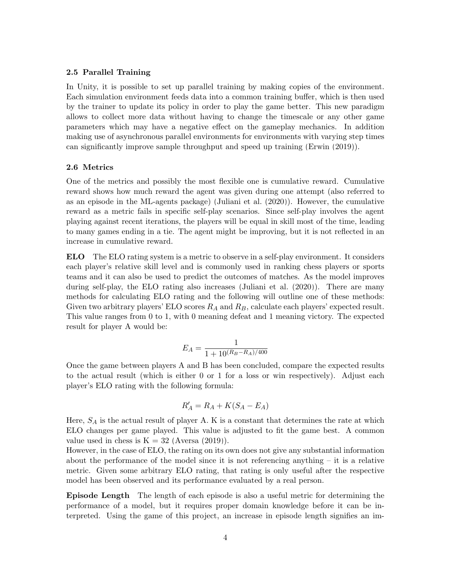### 2.5 Parallel Training

In Unity, it is possible to set up parallel training by making copies of the environment. Each simulation environment feeds data into a common training buffer, which is then used by the trainer to update its policy in order to play the game better. This new paradigm allows to collect more data without having to change the timescale or any other game parameters which may have a negative effect on the gameplay mechanics. In addition making use of asynchronous parallel environments for environments with varying step times can significantly improve sample throughput and speed up training [\(Erwin](#page-11-6) [\(2019\)](#page-11-6)).

### 2.6 Metrics

One of the metrics and possibly the most flexible one is cumulative reward. Cumulative reward shows how much reward the agent was given during one attempt (also referred to as an episode in the ML-agents package) [\(Juliani et al.](#page-11-0) [\(2020\)](#page-11-0)). However, the cumulative reward as a metric fails in specific self-play scenarios. Since self-play involves the agent playing against recent iterations, the players will be equal in skill most of the time, leading to many games ending in a tie. The agent might be improving, but it is not reflected in an increase in cumulative reward.

ELO The ELO rating system is a metric to observe in a self-play environment. It considers each player's relative skill level and is commonly used in ranking chess players or sports teams and it can also be used to predict the outcomes of matches. As the model improves during self-play, the ELO rating also increases [\(Juliani et al.](#page-11-0) [\(2020\)](#page-11-0)). There are many methods for calculating ELO rating and the following will outline one of these methods: Given two arbitrary players' ELO scores  $R_A$  and  $R_B$ , calculate each players' expected result. This value ranges from 0 to 1, with 0 meaning defeat and 1 meaning victory. The expected result for player A would be:

$$
E_A = \frac{1}{1 + 10^{(R_B - R_A)/400}}
$$

Once the game between players A and B has been concluded, compare the expected results to the actual result (which is either 0 or 1 for a loss or win respectively). Adjust each player's ELO rating with the following formula:

$$
R'_A = R_A + K(S_A - E_A)
$$

Here,  $S_A$  is the actual result of player A. K is a constant that determines the rate at which ELO changes per game played. This value is adjusted to fit the game best. A common value used in chess is  $K = 32$  [\(Aversa](#page-11-7) [\(2019\)](#page-11-7)).

However, in the case of ELO, the rating on its own does not give any substantial information about the performance of the model since it is not referencing anything  $-$  it is a relative metric. Given some arbitrary ELO rating, that rating is only useful after the respective model has been observed and its performance evaluated by a real person.

Episode Length The length of each episode is also a useful metric for determining the performance of a model, but it requires proper domain knowledge before it can be interpreted. Using the game of this project, an increase in episode length signifies an im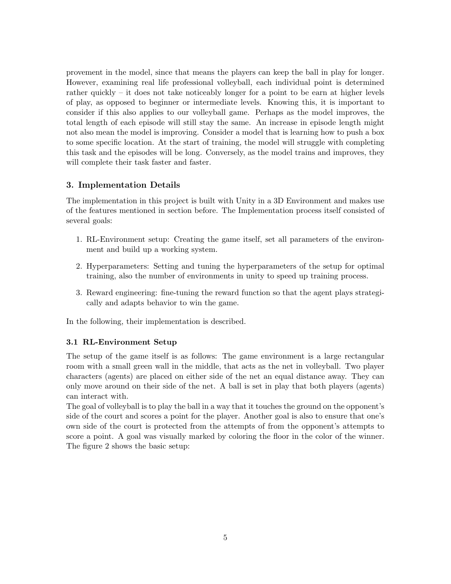provement in the model, since that means the players can keep the ball in play for longer. However, examining real life professional volleyball, each individual point is determined rather quickly – it does not take noticeably longer for a point to be earn at higher levels of play, as opposed to beginner or intermediate levels. Knowing this, it is important to consider if this also applies to our volleyball game. Perhaps as the model improves, the total length of each episode will still stay the same. An increase in episode length might not also mean the model is improving. Consider a model that is learning how to push a box to some specific location. At the start of training, the model will struggle with completing this task and the episodes will be long. Conversely, as the model trains and improves, they will complete their task faster and faster.

# <span id="page-4-0"></span>3. Implementation Details

The implementation in this project is built with Unity in a 3D Environment and makes use of the features mentioned in section before. The Implementation process itself consisted of several goals:

- 1. RL-Environment setup: Creating the game itself, set all parameters of the environment and build up a working system.
- 2. Hyperparameters: Setting and tuning the hyperparameters of the setup for optimal training, also the number of environments in unity to speed up training process.
- 3. Reward engineering: fine-tuning the reward function so that the agent plays strategically and adapts behavior to win the game.

In the following, their implementation is described.

# 3.1 RL-Environment Setup

The setup of the game itself is as follows: The game environment is a large rectangular room with a small green wall in the middle, that acts as the net in volleyball. Two player characters (agents) are placed on either side of the net an equal distance away. They can only move around on their side of the net. A ball is set in play that both players (agents) can interact with.

The goal of volleyball is to play the ball in a way that it touches the ground on the opponent's side of the court and scores a point for the player. Another goal is also to ensure that one's own side of the court is protected from the attempts of from the opponent's attempts to score a point. A goal was visually marked by coloring the floor in the color of the winner. The figure [2](#page-5-0) shows the basic setup: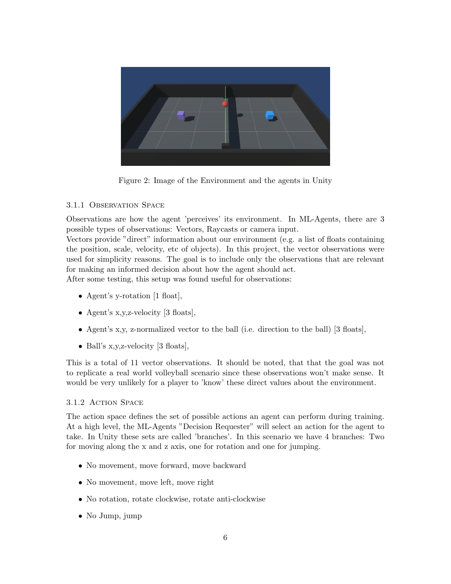

Figure 2: Image of the Environment and the agents in Unity

# <span id="page-5-0"></span>3.1.1 Observation Space

Observations are how the agent 'perceives' its environment. In ML-Agents, there are 3 possible types of observations: Vectors, Raycasts or camera input.

Vectors provide "direct" information about our environment (e.g. a list of floats containing the position, scale, velocity, etc of objects). In this project, the vector observations were used for simplicity reasons. The goal is to include only the observations that are relevant for making an informed decision about how the agent should act.

After some testing, this setup was found useful for observations:

- Agent's y-rotation [1 float],
- Agent's x,y,z-velocity [3 floats],
- Agent's x,y, z-normalized vector to the ball (i.e. direction to the ball) [3 floats],
- Ball's x, y, z-velocity [3 floats],

This is a total of 11 vector observations. It should be noted, that that the goal was not to replicate a real world volleyball scenario since these observations won't make sense. It would be very unlikely for a player to 'know' these direct values about the environment.

# 3.1.2 Action Space

The action space defines the set of possible actions an agent can perform during training. At a high level, the ML-Agents "Decision Requester" will select an action for the agent to take. In Unity these sets are called 'branches'. In this scenario we have 4 branches: Two for moving along the x and z axis, one for rotation and one for jumping.

- No movement, move forward, move backward
- No movement, move left, move right
- No rotation, rotate clockwise, rotate anti-clockwise
- No Jump, jump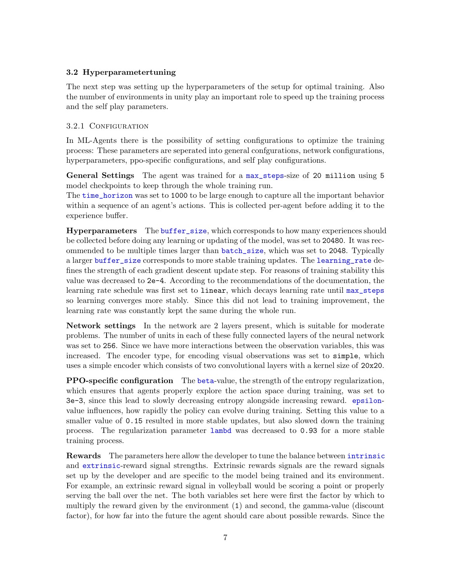### 3.2 Hyperparametertuning

The next step was setting up the hyperparameters of the setup for optimal training. Also the number of environments in unity play an important role to speed up the training process and the self play parameters.

### 3.2.1 CONFIGURATION

In ML-Agents there is the possibility of setting configurations to optimize the training process: These parameters are seperated into general confgurations, network configurations, hyperparameters, ppo-specific configurations, and self play configurations.

General Settings The agent was trained for a max\_steps-size of 20 million using 5 model checkpoints to keep through the whole training run.

The time horizon was set to 1000 to be large enough to capture all the important behavior within a sequence of an agent's actions. This is collected per-agent before adding it to the experience buffer.

Hyperparameters The buffer\_size, which corresponds to how many experiences should be collected before doing any learning or updating of the model, was set to 20480. It was recommended to be multiple times larger than batch\_size, which was set to 2048. Typically a larger buffer\_size corresponds to more stable training updates. The learning\_rate defines the strength of each gradient descent update step. For reasons of training stability this value was decreased to 2e-4. According to the recommendations of the documentation, the learning rate schedule was first set to linear, which decays learning rate until max\_steps so learning converges more stably. Since this did not lead to training improvement, the learning rate was constantly kept the same during the whole run.

Network settings In the network are 2 layers present, which is suitable for moderate problems. The number of units in each of these fully connected layers of the neural network was set to 256. Since we have more interactions between the observation variables, this was increased. The encoder type, for encoding visual observations was set to simple, which uses a simple encoder which consists of two convolutional layers with a kernel size of 20x20.

**PPO-specific configuration** The beta-value, the strength of the entropy regularization, which ensures that agents properly explore the action space during training, was set to 3e-3, since this lead to slowly decreasing entropy alongside increasing reward. epsilonvalue influences, how rapidly the policy can evolve during training. Setting this value to a smaller value of 0.15 resulted in more stable updates, but also slowed down the training process. The regularization parameter lambd was decreased to 0.93 for a more stable training process.

Rewards The parameters here allow the developer to tune the balance between intrinsic and extrinsic-reward signal strengths. Extrinsic rewards signals are the reward signals set up by the developer and are specific to the model being trained and its environment. For example, an extrinsic reward signal in volleyball would be scoring a point or properly serving the ball over the net. The both variables set here were first the factor by which to multiply the reward given by the environment (1) and second, the gamma-value (discount factor), for how far into the future the agent should care about possible rewards. Since the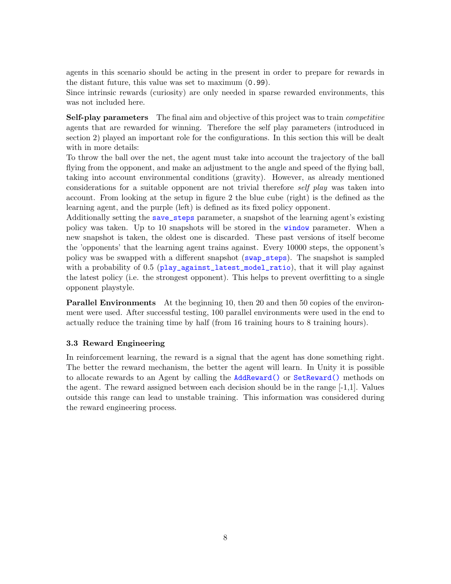agents in this scenario should be acting in the present in order to prepare for rewards in the distant future, this value was set to maximum (0.99).

Since intrinsic rewards (curiosity) are only needed in sparse rewarded environments, this was not included here.

Self-play parameters The final aim and objective of this project was to train *competitive* agents that are rewarded for winning. Therefore the self play parameters (introduced in section [2\)](#page-1-0) played an important role for the configurations. In this section this will be dealt with in more details:

To throw the ball over the net, the agent must take into account the trajectory of the ball flying from the opponent, and make an adjustment to the angle and speed of the flying ball, taking into account environmental conditions (gravity). However, as already mentioned considerations for a suitable opponent are not trivial therefore self play was taken into account. From looking at the setup in figure [2](#page-5-0) the blue cube (right) is the defined as the learning agent, and the purple (left) is defined as its fixed policy opponent.

Additionally setting the save\_steps parameter, a snapshot of the learning agent's existing policy was taken. Up to 10 snapshots will be stored in the window parameter. When a new snapshot is taken, the oldest one is discarded. These past versions of itself become the 'opponents' that the learning agent trains against. Every 10000 steps, the opponent's policy was be swapped with a different snapshot (swap\_steps). The snapshot is sampled with a probability of 0.5 (play\_against\_latest\_model\_ratio), that it will play against the latest policy (i.e. the strongest opponent). This helps to prevent overfitting to a single opponent playstyle.

**Parallel Environments** At the beginning 10, then 20 and then 50 copies of the environment were used. After successful testing, 100 parallel environments were used in the end to actually reduce the training time by half (from 16 training hours to 8 training hours).

### 3.3 Reward Engineering

In reinforcement learning, the reward is a signal that the agent has done something right. The better the reward mechanism, the better the agent will learn. In Unity it is possible to allocate rewards to an Agent by calling the AddReward() or SetReward() methods on the agent. The reward assigned between each decision should be in the range  $[-1,1]$ . Values outside this range can lead to unstable training. This information was considered during the reward engineering process.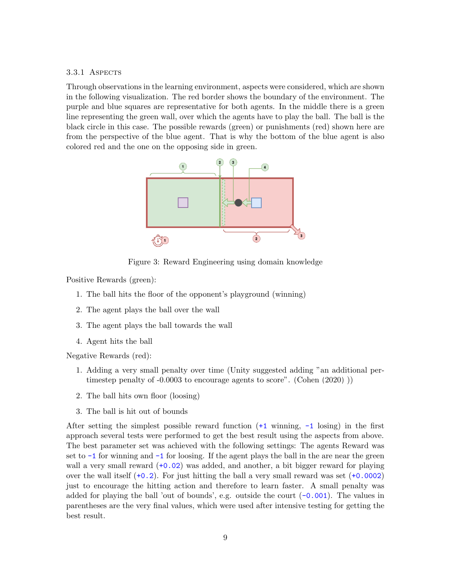### 3.3.1 ASPECTS

Through observations in the learning environment, aspects were considered, which are shown in the following visualization. The red border shows the boundary of the environment. The purple and blue squares are representative for both agents. In the middle there is a green line representing the green wall, over which the agents have to play the ball. The ball is the black circle in this case. The possible rewards (green) or punishments (red) shown here are from the perspective of the blue agent. That is why the bottom of the blue agent is also colored red and the one on the opposing side in green.



Figure 3: Reward Engineering using domain knowledge

Positive Rewards (green):

- 1. The ball hits the floor of the opponent's playground (winning)
- 2. The agent plays the ball over the wall
- 3. The agent plays the ball towards the wall
- 4. Agent hits the ball

Negative Rewards (red):

- 1. Adding a very small penalty over time (Unity suggested adding "an additional pertimestep penalty of -0.0003 to encourage agents to score". [\(Cohen](#page-11-3) [\(2020\)](#page-11-3) ))
- 2. The ball hits own floor (loosing)
- 3. The ball is hit out of bounds

After setting the simplest possible reward function  $(+1 \text{ winning}, -1 \text{ losing})$  in the first approach several tests were performed to get the best result using the aspects from above. The best parameter set was achieved with the following settings: The agents Reward was set to  $-1$  for winning and  $-1$  for loosing. If the agent plays the ball in the are near the green wall a very small reward  $(+0.02)$  was added, and another, a bit bigger reward for playing over the wall itself  $(+0.2)$ . For just hitting the ball a very small reward was set  $(+0.0002)$ just to encourage the hitting action and therefore to learn faster. A small penalty was added for playing the ball 'out of bounds', e.g. outside the court  $(-0.001)$ . The values in parentheses are the very final values, which were used after intensive testing for getting the best result.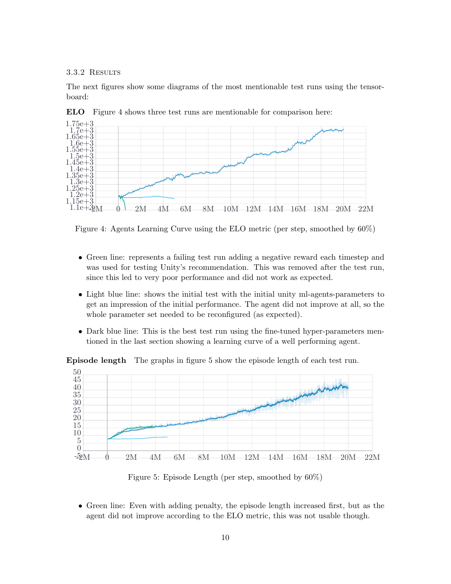3.3.2 Results

The next figures show some diagrams of the most mentionable test runs using the tensorboard:



ELO Figure [4](#page-9-0) shows three test runs are mentionable for comparison here:

<span id="page-9-0"></span>Figure 4: Agents Learning Curve using the ELO metric (per step, smoothed by 60%)

- Green line: represents a failing test run adding a negative reward each timestep and was used for testing Unity's recommendation. This was removed after the test run, since this led to very poor performance and did not work as expected.
- Light blue line: shows the initial test with the initial unity ml-agents-parameters to get an impression of the initial performance. The agent did not improve at all, so the whole parameter set needed to be reconfigured (as expected).
- Dark blue line: This is the best test run using the fine-tuned hyper-parameters mentioned in the last section showing a learning curve of a well performing agent.

Episode length The graphs in figure [5](#page-9-1) show the episode length of each test run.



<span id="page-9-1"></span>Figure 5: Episode Length (per step, smoothed by 60%)

• Green line: Even with adding penalty, the episode length increased first, but as the agent did not improve according to the ELO metric, this was not usable though.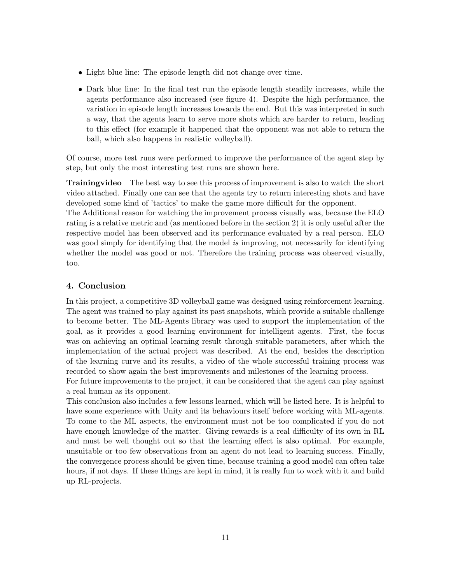- Light blue line: The episode length did not change over time.
- Dark blue line: In the final test run the episode length steadily increases, while the agents performance also increased (see figure [4\)](#page-9-0). Despite the high performance, the variation in episode length increases towards the end. But this was interpreted in such a way, that the agents learn to serve more shots which are harder to return, leading to this effect (for example it happened that the opponent was not able to return the ball, which also happens in realistic volleyball).

Of course, more test runs were performed to improve the performance of the agent step by step, but only the most interesting test runs are shown here.

Trainingvideo The best way to see this process of improvement is also to watch the short video attached. Finally one can see that the agents try to return interesting shots and have developed some kind of 'tactics' to make the game more difficult for the opponent.

The Additional reason for watching the improvement process visually was, because the ELO rating is a relative metric and (as mentioned before in the section [2\)](#page-1-0) it is only useful after the respective model has been observed and its performance evaluated by a real person. ELO was good simply for identifying that the model is improving, not necessarily for identifying whether the model was good or not. Therefore the training process was observed visually, too.

# <span id="page-10-0"></span>4. Conclusion

In this project, a competitive 3D volleyball game was designed using reinforcement learning. The agent was trained to play against its past snapshots, which provide a suitable challenge to become better. The ML-Agents library was used to support the implementation of the goal, as it provides a good learning environment for intelligent agents. First, the focus was on achieving an optimal learning result through suitable parameters, after which the implementation of the actual project was described. At the end, besides the description of the learning curve and its results, a video of the whole successful training process was recorded to show again the best improvements and milestones of the learning process.

For future improvements to the project, it can be considered that the agent can play against a real human as its opponent.

This conclusion also includes a few lessons learned, which will be listed here. It is helpful to have some experience with Unity and its behaviours itself before working with ML-agents. To come to the ML aspects, the environment must not be too complicated if you do not have enough knowledge of the matter. Giving rewards is a real difficulty of its own in RL and must be well thought out so that the learning effect is also optimal. For example, unsuitable or too few observations from an agent do not lead to learning success. Finally, the convergence process should be given time, because training a good model can often take hours, if not days. If these things are kept in mind, it is really fun to work with it and build up RL-projects.